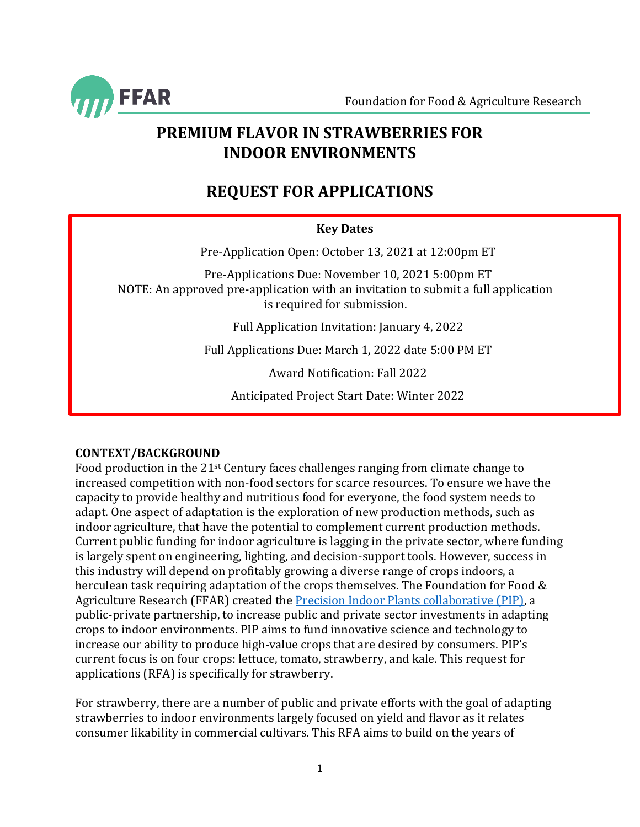

## **PREMIUM FLAVOR IN STRAWBERRIES FOR INDOOR ENVIRONMENTS**

# **REQUEST FOR APPLICATIONS**

## **Key Dates**

Pre-Application Open: October 13, 2021 at 12:00pm ET

Pre-Applications Due: November 10, 2021 5:00pm ET NOTE: An approved pre-application with an invitation to submit a full application is required for submission.

Full Application Invitation: January 4, 2022

Full Applications Due: March 1, 2022 date 5:00 PM ET

Award Notification: Fall 2022

Anticipated Project Start Date: Winter 2022

## **CONTEXT/BACKGROUND**

Food production in the 21st Century faces challenges ranging from climate change to increased competition with non-food sectors for scarce resources. To ensure we have the capacity to provide healthy and nutritious food for everyone, the food system needs to adapt. One aspect of adaptation is the exploration of new production methods, such as indoor agriculture, that have the potential to complement current production methods. Current public funding for indoor agriculture is lagging in the private sector, where funding is largely spent on engineering, lighting, and decision-support tools. However, success in this industry will depend on profitably growing a diverse range of crops indoors, a herculean task requiring adaptation of the crops themselves. The Foundation for Food & Agriculture Research (FFAR) created th[e Precision Indoor Plants collaborative \(PIP\),](https://foundationfar.org/consortia/precision-indoor-plants-collaborative/) a public-private partnership, to increase public and private sector investments in adapting crops to indoor environments. PIP aims to fund innovative science and technology to increase our ability to produce high-value crops that are desired by consumers. PIP's current focus is on four crops: lettuce, tomato, strawberry, and kale. This request for applications (RFA) is specifically for strawberry.

For strawberry, there are a number of public and private efforts with the goal of adapting strawberries to indoor environments largely focused on yield and flavor as it relates consumer likability in commercial cultivars. This RFA aims to build on the years of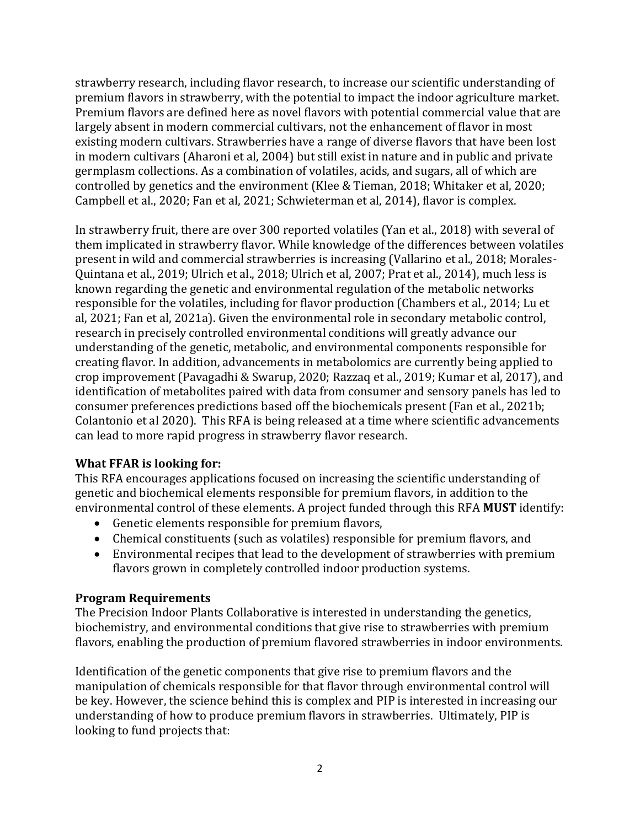strawberry research, including flavor research, to increase our scientific understanding of premium flavors in strawberry, with the potential to impact the indoor agriculture market. Premium flavors are defined here as novel flavors with potential commercial value that are largely absent in modern commercial cultivars, not the enhancement of flavor in most existing modern cultivars. Strawberries have a range of diverse flavors that have been lost in modern cultivars (Aharoni et al, 2004) but still exist in nature and in public and private germplasm collections. As a combination of volatiles, acids, and sugars, all of which are controlled by genetics and the environment (Klee & Tieman, 2018; Whitaker et al, 2020; Campbell et al., 2020; Fan et al, 2021; Schwieterman et al, 2014), flavor is complex.

In strawberry fruit, there are over 300 reported volatiles (Yan et al., 2018) with several of them implicated in strawberry flavor. While knowledge of the differences between volatiles present in wild and commercial strawberries is increasing (Vallarino et al., 2018; Morales-Quintana et al., 2019; Ulrich et al., 2018; Ulrich et al, 2007; Prat et al., 2014), much less is known regarding the genetic and environmental regulation of the metabolic networks responsible for the volatiles, including for flavor production (Chambers et al., 2014; Lu et al, 2021; Fan et al, 2021a). Given the environmental role in secondary metabolic control, research in precisely controlled environmental conditions will greatly advance our understanding of the genetic, metabolic, and environmental components responsible for creating flavor. In addition, advancements in metabolomics are currently being applied to crop improvement (Pavagadhi & Swarup, 2020; Razzaq et al., 2019; Kumar et al, 2017), and identification of metabolites paired with data from consumer and sensory panels has led to consumer preferences predictions based off the biochemicals present (Fan et al., 2021b; Colantonio et al 2020). This RFA is being released at a time where scientific advancements can lead to more rapid progress in strawberry flavor research.

#### **What FFAR is looking for:**

This RFA encourages applications focused on increasing the scientific understanding of genetic and biochemical elements responsible for premium flavors, in addition to the environmental control of these elements. A project funded through this RFA **MUST** identify:

- Genetic elements responsible for premium flavors,
- Chemical constituents (such as volatiles) responsible for premium flavors, and
- Environmental recipes that lead to the development of strawberries with premium flavors grown in completely controlled indoor production systems.

#### **Program Requirements**

The Precision Indoor Plants Collaborative is interested in understanding the genetics, biochemistry, and environmental conditions that give rise to strawberries with premium flavors, enabling the production of premium flavored strawberries in indoor environments.

Identification of the genetic components that give rise to premium flavors and the manipulation of chemicals responsible for that flavor through environmental control will be key. However, the science behind this is complex and PIP is interested in increasing our understanding of how to produce premium flavors in strawberries. Ultimately, PIP is looking to fund projects that: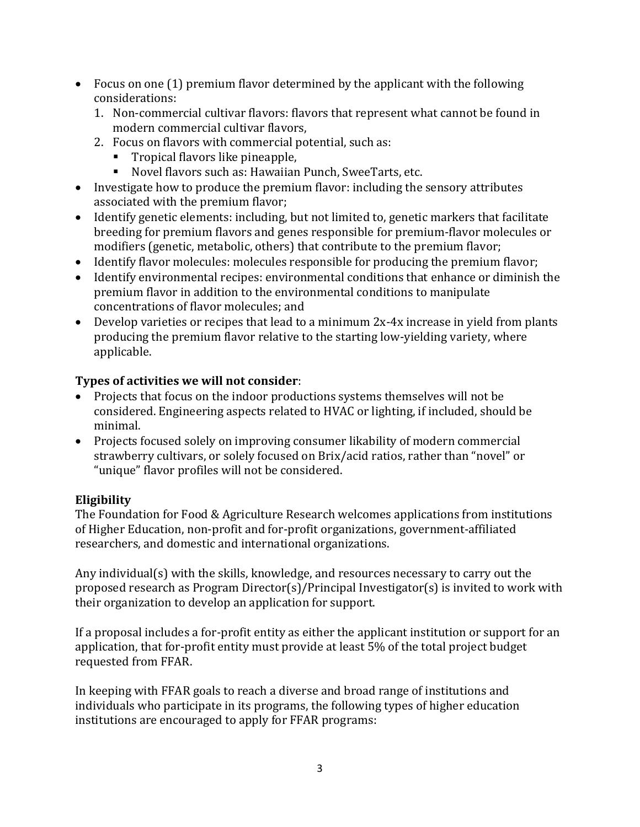- Focus on one (1) premium flavor determined by the applicant with the following considerations:
	- 1. Non-commercial cultivar flavors: flavors that represent what cannot be found in modern commercial cultivar flavors,
	- 2. Focus on flavors with commercial potential, such as:
		- Tropical flavors like pineapple,
		- Novel flavors such as: Hawaiian Punch, SweeTarts, etc.
- Investigate how to produce the premium flavor: including the sensory attributes associated with the premium flavor;
- Identify genetic elements: including, but not limited to, genetic markers that facilitate breeding for premium flavors and genes responsible for premium-flavor molecules or modifiers (genetic, metabolic, others) that contribute to the premium flavor;
- Identify flavor molecules: molecules responsible for producing the premium flavor;
- Identify environmental recipes: environmental conditions that enhance or diminish the premium flavor in addition to the environmental conditions to manipulate concentrations of flavor molecules; and
- Develop varieties or recipes that lead to a minimum 2x-4x increase in yield from plants producing the premium flavor relative to the starting low-yielding variety, where applicable.

## **Types of activities we will not consider**:

- Projects that focus on the indoor productions systems themselves will not be considered. Engineering aspects related to HVAC or lighting, if included, should be minimal.
- Projects focused solely on improving consumer likability of modern commercial strawberry cultivars, or solely focused on Brix/acid ratios, rather than "novel" or "unique" flavor profiles will not be considered.

## **Eligibility**

The Foundation for Food & Agriculture Research welcomes applications from institutions of Higher Education, non-profit and for-profit organizations, government-affiliated researchers, and domestic and international organizations.

Any individual(s) with the skills, knowledge, and resources necessary to carry out the proposed research as Program Director(s)/Principal Investigator(s) is invited to work with their organization to develop an application for support.

If a proposal includes a for-profit entity as either the applicant institution or support for an application, that for-profit entity must provide at least 5% of the total project budget requested from FFAR.

In keeping with FFAR goals to reach a diverse and broad range of institutions and individuals who participate in its programs, the following types of higher education institutions are encouraged to apply for FFAR programs: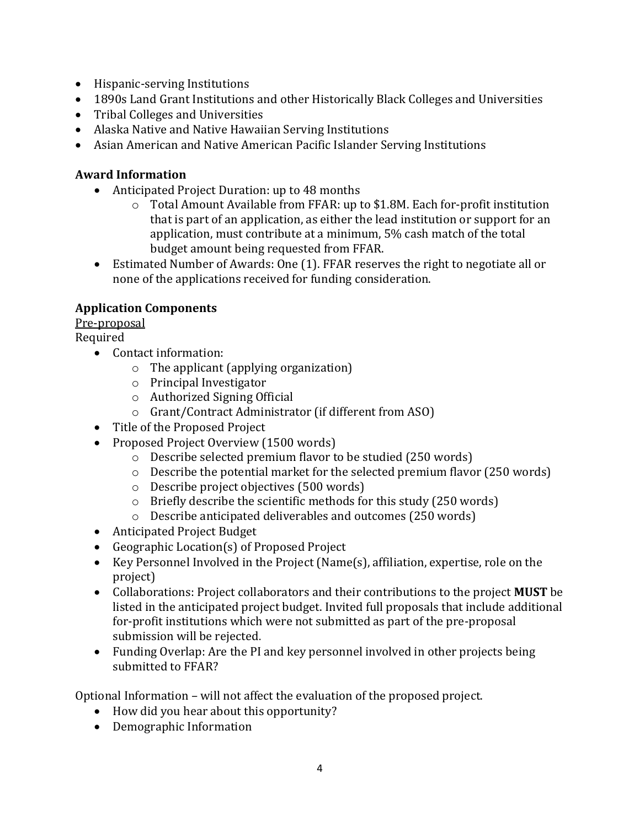- Hispanic-serving Institutions
- 1890s Land Grant Institutions and other Historically Black Colleges and Universities
- Tribal Colleges and Universities
- Alaska Native and Native Hawaiian Serving Institutions
- Asian American and Native American Pacific Islander Serving Institutions

## **Award Information**

- Anticipated Project Duration: up to 48 months
	- o Total Amount Available from FFAR: up to \$1.8M. Each for-profit institution that is part of an application, as either the lead institution or support for an application, must contribute at a minimum, 5% cash match of the total budget amount being requested from FFAR.
- Estimated Number of Awards: One (1). FFAR reserves the right to negotiate all or none of the applications received for funding consideration.

## **Application Components**

Pre-proposal

- Required
	- Contact information:
		- o The applicant (applying organization)
		- o Principal Investigator
		- o Authorized Signing Official
		- o Grant/Contract Administrator (if different from ASO)
	- Title of the Proposed Project
	- Proposed Project Overview (1500 words)
		- o Describe selected premium flavor to be studied (250 words)
		- o Describe the potential market for the selected premium flavor (250 words)
		- o Describe project objectives (500 words)
		- o Briefly describe the scientific methods for this study (250 words)
		- o Describe anticipated deliverables and outcomes (250 words)
	- Anticipated Project Budget
	- Geographic Location(s) of Proposed Project
	- Key Personnel Involved in the Project (Name(s), affiliation, expertise, role on the project)
	- Collaborations: Project collaborators and their contributions to the project **MUST** be listed in the anticipated project budget. Invited full proposals that include additional for-profit institutions which were not submitted as part of the pre-proposal submission will be rejected.
	- Funding Overlap: Are the PI and key personnel involved in other projects being submitted to FFAR?

Optional Information – will not affect the evaluation of the proposed project.

- How did you hear about this opportunity?
- Demographic Information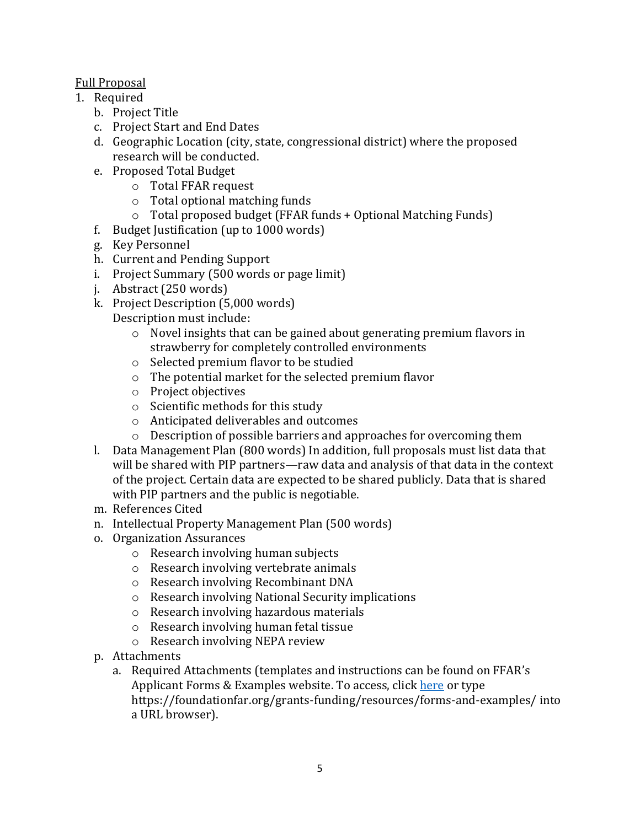## Full Proposal

- 1. Required
	- b. Project Title
	- c. Project Start and End Dates
	- d. Geographic Location (city, state, congressional district) where the proposed research will be conducted.
	- e. Proposed Total Budget
		- o Total FFAR request
		- o Total optional matching funds
		- o Total proposed budget (FFAR funds + Optional Matching Funds)
	- f. Budget Justification (up to 1000 words)
	- g. Key Personnel
	- h. Current and Pending Support
	- i. Project Summary (500 words or page limit)
	- j. Abstract (250 words)
	- k. Project Description (5,000 words) Description must include:
		- o Novel insights that can be gained about generating premium flavors in strawberry for completely controlled environments
		- o Selected premium flavor to be studied
		- o The potential market for the selected premium flavor
		- o Project objectives
		- o Scientific methods for this study
		- o Anticipated deliverables and outcomes
		- o Description of possible barriers and approaches for overcoming them
	- l. Data Management Plan (800 words) In addition, full proposals must list data that will be shared with PIP partners—raw data and analysis of that data in the context of the project. Certain data are expected to be shared publicly. Data that is shared with PIP partners and the public is negotiable.
	- m. References Cited
	- n. Intellectual Property Management Plan (500 words)
	- o. Organization Assurances
		- o Research involving human subjects
		- o Research involving vertebrate animals
		- o Research involving Recombinant DNA
		- o Research involving National Security implications
		- o Research involving hazardous materials
		- o Research involving human fetal tissue
		- o Research involving NEPA review
	- p. Attachments
		- a. Required Attachments (templates and instructions can be found on FFAR's Applicant Forms & Examples website. To access, clic[k here](https://foundationfar.org/grants-funding/resources/forms-and-examples/) or type https://foundationfar.org/grants-funding/resources/forms-and-examples/ into a URL browser).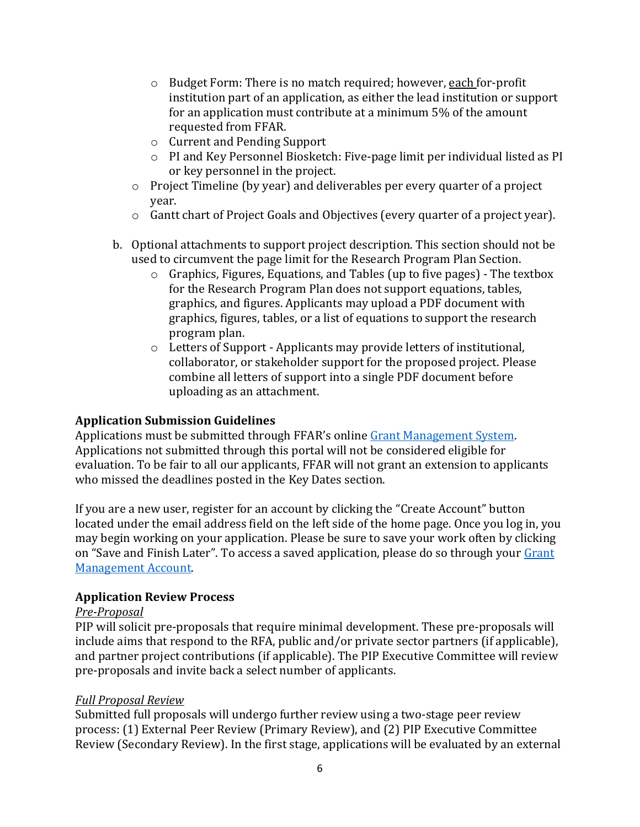- o Budget Form: There is no match required; however, each for-profit institution part of an application, as either the lead institution or support for an application must contribute at a minimum 5% of the amount requested from FFAR.
- o Current and Pending Support
- o PI and Key Personnel Biosketch: Five-page limit per individual listed as PI or key personnel in the project.
- o Project Timeline (by year) and deliverables per every quarter of a project year.
- $\circ$  Gantt chart of Project Goals and Objectives (every quarter of a project year).
- b. Optional attachments to support project description. This section should not be used to circumvent the page limit for the Research Program Plan Section.
	- o Graphics, Figures, Equations, and Tables (up to five pages) The textbox for the Research Program Plan does not support equations, tables, graphics, and figures. Applicants may upload a PDF document with graphics, figures, tables, or a list of equations to support the research program plan.
	- o Letters of Support Applicants may provide letters of institutional, collaborator, or stakeholder support for the proposed project. Please combine all letters of support into a single PDF document before uploading as an attachment.

## **Application Submission Guidelines**

Applications must be submitted through FFAR's online [Grant Management System.](https://www.grantrequest.com/SID_6242?SA=SNA&FID=35021) Applications not submitted through this portal will not be considered eligible for evaluation. To be fair to all our applicants, FFAR will not grant an extension to applicants who missed the deadlines posted in the Key Dates section.

If you are a new user, register for an account by clicking the "Create Account" button located under the email address field on the left side of the home page. Once you log in, you may begin working on your application. Please be sure to save your work often by clicking on "Save and Finish Later". To access a saved application, please do so through your Grant [Management Account.](https://www.grantrequest.com/accountmanager.aspx?SA=AM&sid=6242)

#### **Application Review Process**

#### *Pre-Proposal*

PIP will solicit pre-proposals that require minimal development. These pre-proposals will include aims that respond to the RFA, public and/or private sector partners (if applicable), and partner project contributions (if applicable). The PIP Executive Committee will review pre-proposals and invite back a select number of applicants.

#### *Full Proposal Review*

Submitted full proposals will undergo further review using a two-stage peer review process: (1) External Peer Review (Primary Review), and (2) PIP Executive Committee Review (Secondary Review). In the first stage, applications will be evaluated by an external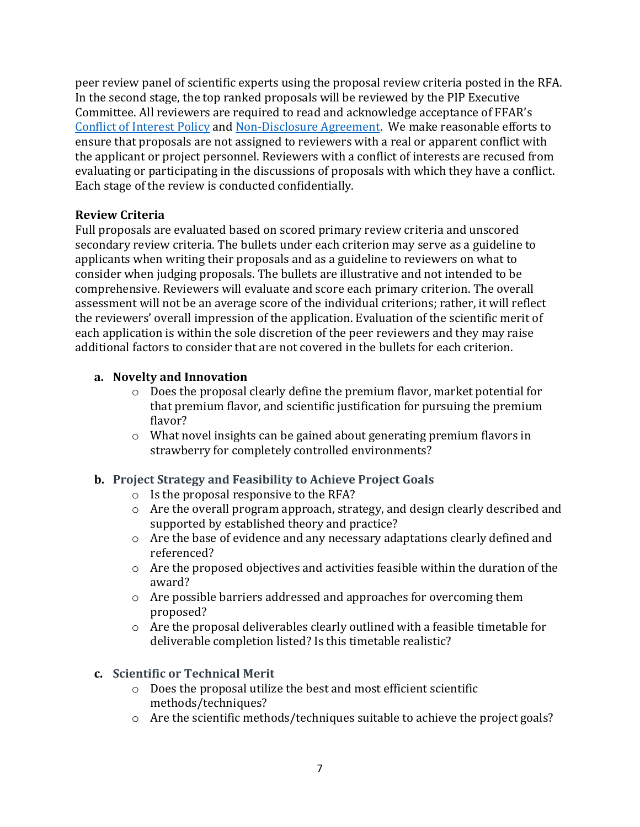peer review panel of scientific experts using the proposal review criteria posted in the RFA. In the second stage, the top ranked proposals will be reviewed by the PIP Executive Committee. All reviewers are required to read and acknowledge acceptance of FFAR's [Conflict of Interest Policy](https://foundationfar.org/grants-funding/reviewer-conflict-of-interest-policies/) and [Non-Disclosure Agreement.](https://foundationfar.org/grants-funding/reviewer-non-disclosure-agreement/) We make reasonable efforts to ensure that proposals are not assigned to reviewers with a real or apparent conflict with the applicant or project personnel. Reviewers with a conflict of interests are recused from evaluating or participating in the discussions of proposals with which they have a conflict. Each stage of the review is conducted confidentially.

## **Review Criteria**

Full proposals are evaluated based on scored primary review criteria and unscored secondary review criteria. The bullets under each criterion may serve as a guideline to applicants when writing their proposals and as a guideline to reviewers on what to consider when judging proposals. The bullets are illustrative and not intended to be comprehensive. Reviewers will evaluate and score each primary criterion. The overall assessment will not be an average score of the individual criterions; rather, it will reflect the reviewers' overall impression of the application. Evaluation of the scientific merit of each application is within the sole discretion of the peer reviewers and they may raise additional factors to consider that are not covered in the bullets for each criterion.

## **a. Novelty and Innovation**

- $\circ$  Does the proposal clearly define the premium flavor, market potential for that premium flavor, and scientific justification for pursuing the premium flavor?
- $\circ$  What novel insights can be gained about generating premium flavors in strawberry for completely controlled environments?

## **b. Project Strategy and Feasibility to Achieve Project Goals**

- o Is the proposal responsive to the RFA?
- o Are the overall program approach, strategy, and design clearly described and supported by established theory and practice?
- o Are the base of evidence and any necessary adaptations clearly defined and referenced?
- o Are the proposed objectives and activities feasible within the duration of the award?
- o Are possible barriers addressed and approaches for overcoming them proposed?
- $\circ$  Are the proposal deliverables clearly outlined with a feasible timetable for deliverable completion listed? Is this timetable realistic?

#### **c. Scientific or Technical Merit**

- o Does the proposal utilize the best and most efficient scientific methods/techniques?
- o Are the scientific methods/techniques suitable to achieve the project goals?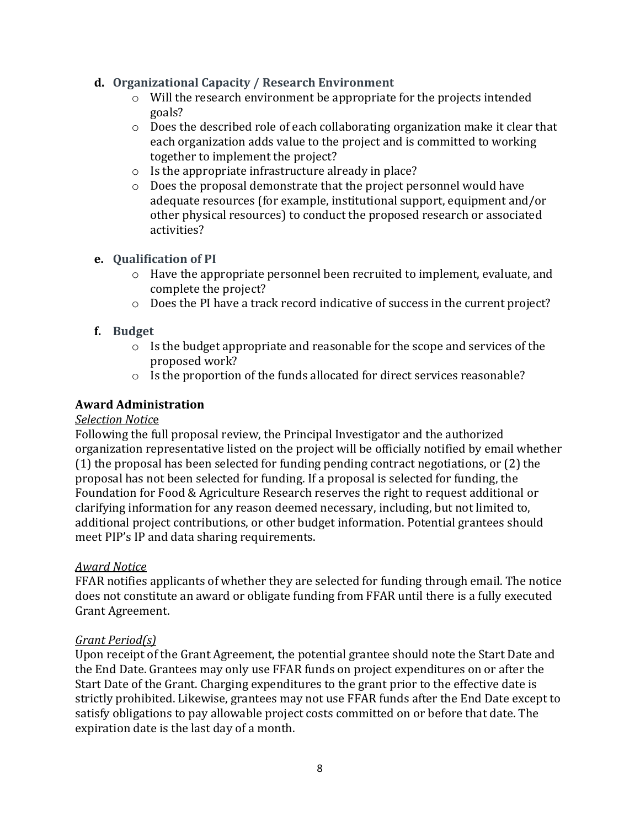#### **d. Organizational Capacity / Research Environment**

- o Will the research environment be appropriate for the projects intended goals?
- o Does the described role of each collaborating organization make it clear that each organization adds value to the project and is committed to working together to implement the project?
- o Is the appropriate infrastructure already in place?
- o Does the proposal demonstrate that the project personnel would have adequate resources (for example, institutional support, equipment and/or other physical resources) to conduct the proposed research or associated activities?

## **e. Qualification of PI**

- o Have the appropriate personnel been recruited to implement, evaluate, and complete the project?
- o Does the PI have a track record indicative of success in the current project?

## **f. Budget**

- o Is the budget appropriate and reasonable for the scope and services of the proposed work?
- o Is the proportion of the funds allocated for direct services reasonable?

## **Award Administration**

#### *Selection Notic*e

Following the full proposal review, the Principal Investigator and the authorized organization representative listed on the project will be officially notified by email whether (1) the proposal has been selected for funding pending contract negotiations, or (2) the proposal has not been selected for funding. If a proposal is selected for funding, the Foundation for Food & Agriculture Research reserves the right to request additional or clarifying information for any reason deemed necessary, including, but not limited to, additional project contributions, or other budget information. Potential grantees should meet PIP's IP and data sharing requirements.

## *Award Notice*

FFAR notifies applicants of whether they are selected for funding through email. The notice does not constitute an award or obligate funding from FFAR until there is a fully executed Grant Agreement.

#### *Grant Period(s)*

Upon receipt of the Grant Agreement, the potential grantee should note the Start Date and the End Date. Grantees may only use FFAR funds on project expenditures on or after the Start Date of the Grant. Charging expenditures to the grant prior to the effective date is strictly prohibited. Likewise, grantees may not use FFAR funds after the End Date except to satisfy obligations to pay allowable project costs committed on or before that date. The expiration date is the last day of a month.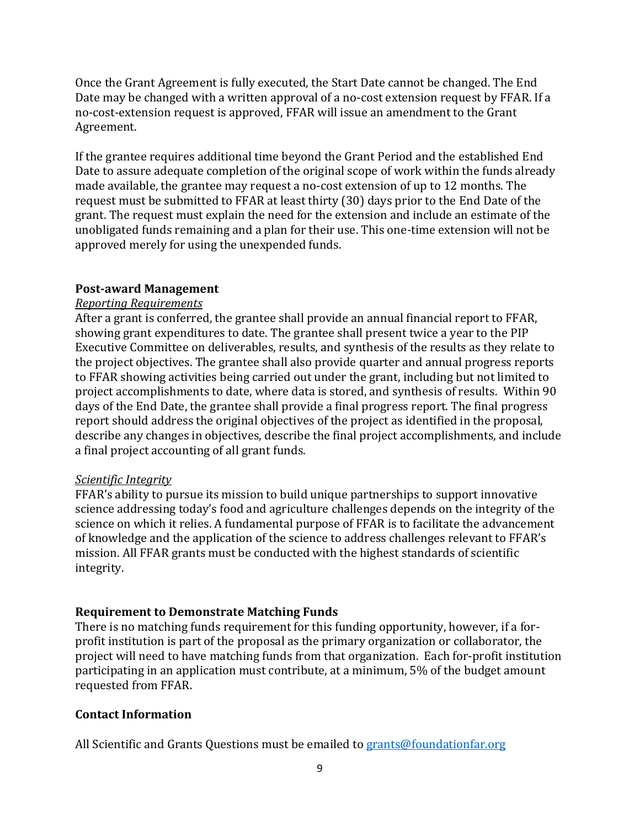Once the Grant Agreement is fully executed, the Start Date cannot be changed. The End Date may be changed with a written approval of a no-cost extension request by FFAR. If a no-cost-extension request is approved, FFAR will issue an amendment to the Grant Agreement.

If the grantee requires additional time beyond the Grant Period and the established End Date to assure adequate completion of the original scope of work within the funds already made available, the grantee may request a no-cost extension of up to 12 months. The request must be submitted to FFAR at least thirty (30) days prior to the End Date of the grant. The request must explain the need for the extension and include an estimate of the unobligated funds remaining and a plan for their use. This one-time extension will not be approved merely for using the unexpended funds.

#### **Post-award Management**

## *Reporting Requirements*

After a grant is conferred, the grantee shall provide an annual financial report to FFAR, showing grant expenditures to date. The grantee shall present twice a year to the PIP Executive Committee on deliverables, results, and synthesis of the results as they relate to the project objectives. The grantee shall also provide quarter and annual progress reports to FFAR showing activities being carried out under the grant, including but not limited to project accomplishments to date, where data is stored, and synthesis of results. Within 90 days of the End Date, the grantee shall provide a final progress report. The final progress report should address the original objectives of the project as identified in the proposal, describe any changes in objectives, describe the final project accomplishments, and include a final project accounting of all grant funds.

#### *Scientific Integrity*

FFAR's ability to pursue its mission to build unique partnerships to support innovative science addressing today's food and agriculture challenges depends on the integrity of the science on which it relies. A fundamental purpose of FFAR is to facilitate the advancement of knowledge and the application of the science to address challenges relevant to FFAR's mission. All FFAR grants must be conducted with the highest standards of scientific integrity.

## **Requirement to Demonstrate Matching Funds**

There is no matching funds requirement for this funding opportunity, however, if a forprofit institution is part of the proposal as the primary organization or collaborator, the project will need to have matching funds from that organization. Each for-profit institution participating in an application must contribute, at a minimum, 5% of the budget amount requested from FFAR.

## **Contact Information**

All Scientific and Grants Questions must be emailed t[o grants@foundationfar.org](mailto:grants@foundationfar.org)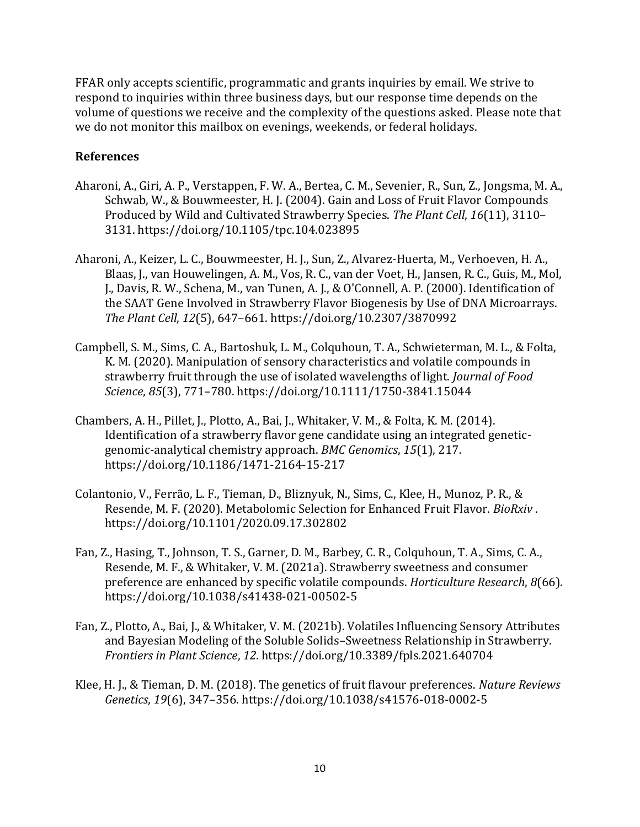FFAR only accepts scientific, programmatic and grants inquiries by email. We strive to respond to inquiries within three business days, but our response time depends on the volume of questions we receive and the complexity of the questions asked. Please note that we do not monitor this mailbox on evenings, weekends, or federal holidays.

#### **References**

- Aharoni, A., Giri, A. P., Verstappen, F. W. A., Bertea, C. M., Sevenier, R., Sun, Z., Jongsma, M. A., Schwab, W., & Bouwmeester, H. J. (2004). Gain and Loss of Fruit Flavor Compounds Produced by Wild and Cultivated Strawberry Species. *The Plant Cell*, *16*(11), 3110– 3131. https://doi.org/10.1105/tpc.104.023895
- Aharoni, A., Keizer, L. C., Bouwmeester, H. J., Sun, Z., Alvarez-Huerta, M., Verhoeven, H. A., Blaas, J., van Houwelingen, A. M., Vos, R. C., van der Voet, H., Jansen, R. C., Guis, M., Mol, J., Davis, R. W., Schena, M., van Tunen, A. J., & O'Connell, A. P. (2000). Identification of the SAAT Gene Involved in Strawberry Flavor Biogenesis by Use of DNA Microarrays. *The Plant Cell*, *12*(5), 647–661. https://doi.org/10.2307/3870992
- Campbell, S. M., Sims, C. A., Bartoshuk, L. M., Colquhoun, T. A., Schwieterman, M. L., & Folta, K. M. (2020). Manipulation of sensory characteristics and volatile compounds in strawberry fruit through the use of isolated wavelengths of light. *Journal of Food Science*, *85*(3), 771–780. https://doi.org/10.1111/1750-3841.15044
- Chambers, A. H., Pillet, J., Plotto, A., Bai, J., Whitaker, V. M., & Folta, K. M. (2014). Identification of a strawberry flavor gene candidate using an integrated geneticgenomic-analytical chemistry approach. *BMC Genomics*, *15*(1), 217. https://doi.org/10.1186/1471-2164-15-217
- Colantonio, V., Ferrão, L. F., Tieman, D., Bliznyuk, N., Sims, C., Klee, H., Munoz, P. R., & Resende, M. F. (2020). Metabolomic Selection for Enhanced Fruit Flavor. *BioRxiv* . https://doi.org/10.1101/2020.09.17.302802
- Fan, Z., Hasing, T., Johnson, T. S., Garner, D. M., Barbey, C. R., Colquhoun, T. A., Sims, C. A., Resende, M. F., & Whitaker, V. M. (2021a). Strawberry sweetness and consumer preference are enhanced by specific volatile compounds. *Horticulture Research*, *8*(66). https://doi.org/10.1038/s41438-021-00502-5
- Fan, Z., Plotto, A., Bai, J., & Whitaker, V. M. (2021b). Volatiles Influencing Sensory Attributes and Bayesian Modeling of the Soluble Solids–Sweetness Relationship in Strawberry. *Frontiers in Plant Science*, *12*. https://doi.org/10.3389/fpls.2021.640704
- Klee, H. J., & Tieman, D. M. (2018). The genetics of fruit flavour preferences. *Nature Reviews Genetics*, *19*(6), 347–356. https://doi.org/10.1038/s41576-018-0002-5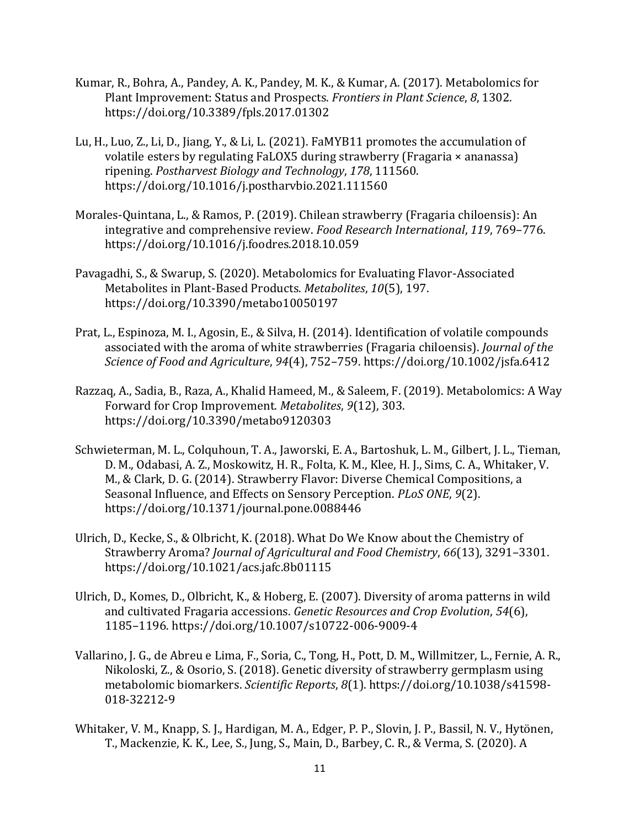- Kumar, R., Bohra, A., Pandey, A. K., Pandey, M. K., & Kumar, A. (2017). Metabolomics for Plant Improvement: Status and Prospects. *Frontiers in Plant Science*, *8*, 1302. https://doi.org/10.3389/fpls.2017.01302
- Lu, H., Luo, Z., Li, D., Jiang, Y., & Li, L. (2021). FaMYB11 promotes the accumulation of volatile esters by regulating FaLOX5 during strawberry (Fragaria × ananassa) ripening. *Postharvest Biology and Technology*, *178*, 111560. https://doi.org/10.1016/j.postharvbio.2021.111560
- Morales-Quintana, L., & Ramos, P. (2019). Chilean strawberry (Fragaria chiloensis): An integrative and comprehensive review. *Food Research International*, *119*, 769–776. https://doi.org/10.1016/j.foodres.2018.10.059
- Pavagadhi, S., & Swarup, S. (2020). Metabolomics for Evaluating Flavor-Associated Metabolites in Plant-Based Products. *Metabolites*, *10*(5), 197. https://doi.org/10.3390/metabo10050197
- Prat, L., Espinoza, M. I., Agosin, E., & Silva, H. (2014). Identification of volatile compounds associated with the aroma of white strawberries (Fragaria chiloensis). *Journal of the Science of Food and Agriculture*, *94*(4), 752–759. https://doi.org/10.1002/jsfa.6412
- Razzaq, A., Sadia, B., Raza, A., Khalid Hameed, M., & Saleem, F. (2019). Metabolomics: A Way Forward for Crop Improvement. *Metabolites*, *9*(12), 303. https://doi.org/10.3390/metabo9120303
- Schwieterman, M. L., Colquhoun, T. A., Jaworski, E. A., Bartoshuk, L. M., Gilbert, J. L., Tieman, D. M., Odabasi, A. Z., Moskowitz, H. R., Folta, K. M., Klee, H. J., Sims, C. A., Whitaker, V. M., & Clark, D. G. (2014). Strawberry Flavor: Diverse Chemical Compositions, a Seasonal Influence, and Effects on Sensory Perception. *PLoS ONE*, *9*(2). https://doi.org/10.1371/journal.pone.0088446
- Ulrich, D., Kecke, S., & Olbricht, K. (2018). What Do We Know about the Chemistry of Strawberry Aroma? *Journal of Agricultural and Food Chemistry*, *66*(13), 3291–3301. https://doi.org/10.1021/acs.jafc.8b01115
- Ulrich, D., Komes, D., Olbricht, K., & Hoberg, E. (2007). Diversity of aroma patterns in wild and cultivated Fragaria accessions. *Genetic Resources and Crop Evolution*, *54*(6), 1185–1196. https://doi.org/10.1007/s10722-006-9009-4
- Vallarino, J. G., de Abreu e Lima, F., Soria, C., Tong, H., Pott, D. M., Willmitzer, L., Fernie, A. R., Nikoloski, Z., & Osorio, S. (2018). Genetic diversity of strawberry germplasm using metabolomic biomarkers. *Scientific Reports*, *8*(1). https://doi.org/10.1038/s41598- 018-32212-9
- Whitaker, V. M., Knapp, S. J., Hardigan, M. A., Edger, P. P., Slovin, J. P., Bassil, N. V., Hytönen, T., Mackenzie, K. K., Lee, S., Jung, S., Main, D., Barbey, C. R., & Verma, S. (2020). A